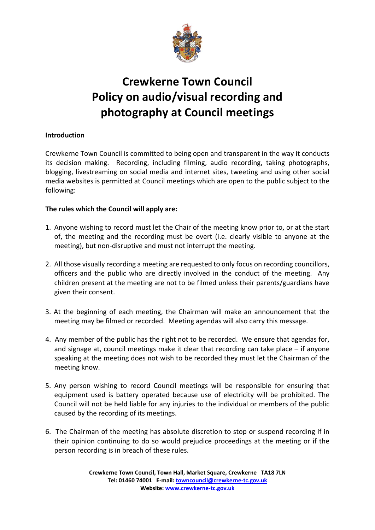

# **Crewkerne Town Council Policy on audio/visual recording and photography at Council meetings**

## **Introduction**

Crewkerne Town Council is committed to being open and transparent in the way it conducts its decision making. Recording, including filming, audio recording, taking photographs, blogging, livestreaming on social media and internet sites, tweeting and using other social media websites is permitted at Council meetings which are open to the public subject to the following:

### **The rules which the Council will apply are:**

- 1. Anyone wishing to record must let the Chair of the meeting know prior to, or at the start of, the meeting and the recording must be overt (i.e. clearly visible to anyone at the meeting), but non-disruptive and must not interrupt the meeting.
- 2. All those visually recording a meeting are requested to only focus on recording councillors, officers and the public who are directly involved in the conduct of the meeting. Any children present at the meeting are not to be filmed unless their parents/guardians have given their consent.
- 3. At the beginning of each meeting, the Chairman will make an announcement that the meeting may be filmed or recorded. Meeting agendas will also carry this message.
- 4. Any member of the public has the right not to be recorded. We ensure that agendas for, and signage at, council meetings make it clear that recording can take place – if anyone speaking at the meeting does not wish to be recorded they must let the Chairman of the meeting know.
- 5. Any person wishing to record Council meetings will be responsible for ensuring that equipment used is battery operated because use of electricity will be prohibited. The Council will not be held liable for any injuries to the individual or members of the public caused by the recording of its meetings.
- 6. The Chairman of the meeting has absolute discretion to stop or suspend recording if in their opinion continuing to do so would prejudice proceedings at the meeting or if the person recording is in breach of these rules.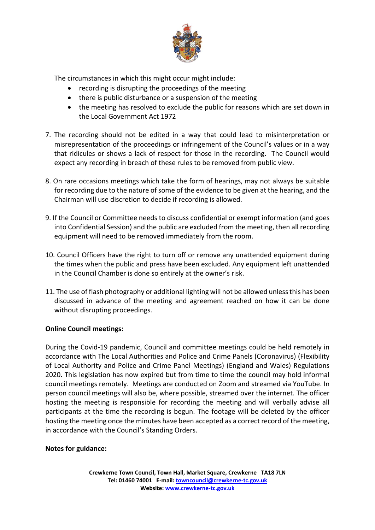

The circumstances in which this might occur might include:

- recording is disrupting the proceedings of the meeting
- there is public disturbance or a suspension of the meeting
- the meeting has resolved to exclude the public for reasons which are set down in the Local Government Act 1972
- 7. The recording should not be edited in a way that could lead to misinterpretation or misrepresentation of the proceedings or infringement of the Council's values or in a way that ridicules or shows a lack of respect for those in the recording. The Council would expect any recording in breach of these rules to be removed from public view.
- 8. On rare occasions meetings which take the form of hearings, may not always be suitable for recording due to the nature of some of the evidence to be given at the hearing, and the Chairman will use discretion to decide if recording is allowed.
- 9. If the Council or Committee needs to discuss confidential or exempt information (and goes into Confidential Session) and the public are excluded from the meeting, then all recording equipment will need to be removed immediately from the room.
- 10. Council Officers have the right to turn off or remove any unattended equipment during the times when the public and press have been excluded. Any equipment left unattended in the Council Chamber is done so entirely at the owner's risk.
- 11. The use of flash photography or additional lighting will not be allowed unless this has been discussed in advance of the meeting and agreement reached on how it can be done without disrupting proceedings.

### **Online Council meetings:**

During the Covid-19 pandemic, Council and committee meetings could be held remotely in accordance with The Local Authorities and Police and Crime Panels (Coronavirus) (Flexibility of Local Authority and Police and Crime Panel Meetings) (England and Wales) Regulations 2020. This legislation has now expired but from time to time the council may hold informal council meetings remotely. Meetings are conducted on Zoom and streamed via YouTube. In person council meetings will also be, where possible, streamed over the internet. The officer hosting the meeting is responsible for recording the meeting and will verbally advise all participants at the time the recording is begun. The footage will be deleted by the officer hosting the meeting once the minutes have been accepted as a correct record of the meeting, in accordance with the Council's Standing Orders.

#### **Notes for guidance:**